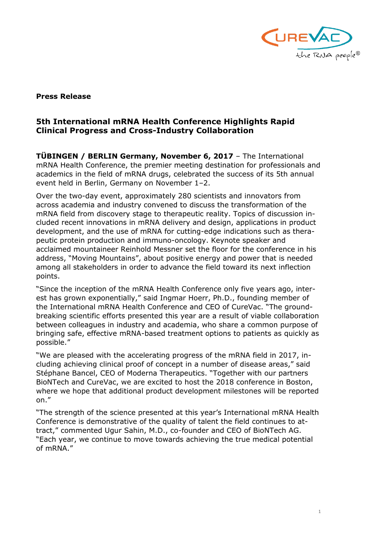

## **Press Release**

## **5th International mRNA Health Conference Highlights Rapid Clinical Progress and Cross-Industry Collaboration**

**TÜBINGEN / BERLIN Germany, November 6, 2017** – The International mRNA Health Conference, the premier meeting destination for professionals and academics in the field of mRNA drugs, celebrated the success of its 5th annual event held in Berlin, Germany on November 1–2.

Over the two-day event, approximately 280 scientists and innovators from across academia and industry convened to discuss the transformation of the mRNA field from discovery stage to therapeutic reality. Topics of discussion included recent innovations in mRNA delivery and design, applications in product development, and the use of mRNA for cutting-edge indications such as therapeutic protein production and immuno-oncology. Keynote speaker and acclaimed mountaineer Reinhold Messner set the floor for the conference in his address, "Moving Mountains", about positive energy and power that is needed among all stakeholders in order to advance the field toward its next inflection points.

"Since the inception of the mRNA Health Conference only five years ago, interest has grown exponentially," said Ingmar Hoerr, Ph.D., founding member of the International mRNA Health Conference and CEO of CureVac. "The groundbreaking scientific efforts presented this year are a result of viable collaboration between colleagues in industry and academia, who share a common purpose of bringing safe, effective mRNA-based treatment options to patients as quickly as possible."

"We are pleased with the accelerating progress of the mRNA field in 2017, including achieving clinical proof of concept in a number of disease areas," said Stéphane Bancel, CEO of Moderna Therapeutics. "Together with our partners BioNTech and CureVac, we are excited to host the 2018 conference in Boston, where we hope that additional product development milestones will be reported on."

"The strength of the science presented at this year's International mRNA Health Conference is demonstrative of the quality of talent the field continues to attract," commented Ugur Sahin, M.D., co-founder and CEO of BioNTech AG. "Each year, we continue to move towards achieving the true medical potential of mRNA."